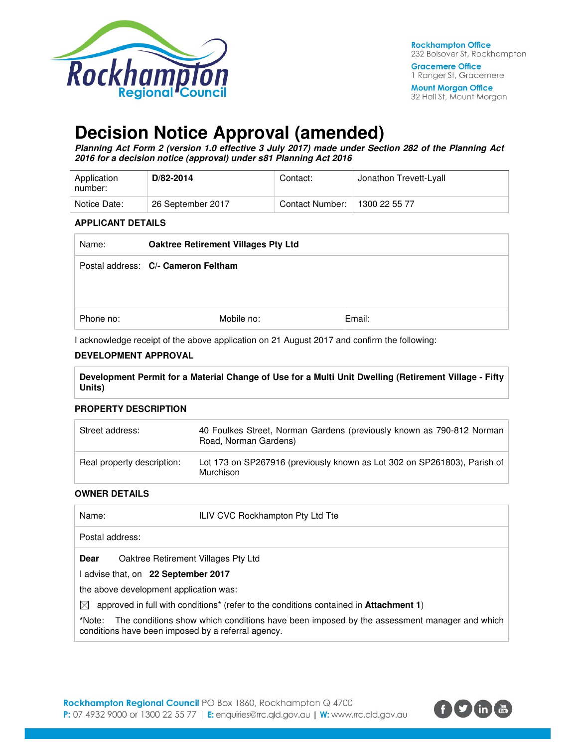

32 Hall St, Mount Morgan

# **Decision Notice Approval (amended)**

**Planning Act Form 2 (version 1.0 effective 3 July 2017) made under Section 282 of the Planning Act 2016 for a decision notice (approval) under s81 Planning Act 2016** 

| Application<br>number: | D/82-2014         | Contact:        | Jonathon Trevett-Lyall |
|------------------------|-------------------|-----------------|------------------------|
| Notice Date:           | 26 September 2017 | Contact Number: | 1300 22 55 77          |

#### **APPLICANT DETAILS**

| Name:     | Oaktree Retirement Villages Pty Ltd |        |
|-----------|-------------------------------------|--------|
|           | Postal address: C/- Cameron Feltham |        |
| Phone no: | Mobile no:                          | Email: |

I acknowledge receipt of the above application on 21 August 2017 and confirm the following:

### **DEVELOPMENT APPROVAL**

**Development Permit for a Material Change of Use for a Multi Unit Dwelling (Retirement Village - Fifty Units)** 

#### **PROPERTY DESCRIPTION**

| Street address:            | 40 Foulkes Street, Norman Gardens (previously known as 790-812 Norman<br>Road, Norman Gardens) |
|----------------------------|------------------------------------------------------------------------------------------------|
| Real property description: | Lot 173 on SP267916 (previously known as Lot 302 on SP261803), Parish of<br>Murchison          |

#### **OWNER DETAILS**

| Name:                                                                                                          | ILIV CVC Rockhampton Pty Ltd Tte                                                           |  |
|----------------------------------------------------------------------------------------------------------------|--------------------------------------------------------------------------------------------|--|
| Postal address:                                                                                                |                                                                                            |  |
| Oaktree Retirement Villages Pty Ltd<br><b>Dear</b>                                                             |                                                                                            |  |
| advise that, on 22 September 2017                                                                              |                                                                                            |  |
| the above development application was:                                                                         |                                                                                            |  |
| approved in full with conditions <sup>*</sup> (refer to the conditions contained in <b>Attachment 1</b> )<br>⊠ |                                                                                            |  |
| *Note:<br>conditions have been imposed by a referral agency.                                                   | The conditions show which conditions have been imposed by the assessment manager and which |  |

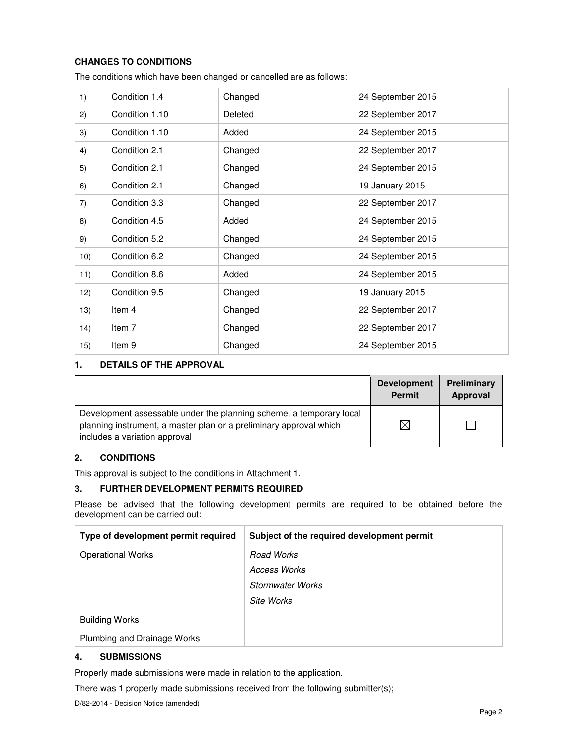## **CHANGES TO CONDITIONS**

| 1)  | Condition 1.4     | Changed | 24 September 2015 |
|-----|-------------------|---------|-------------------|
| 2)  | Condition 1.10    | Deleted | 22 September 2017 |
| 3)  | Condition 1.10    | Added   | 24 September 2015 |
| 4)  | Condition 2.1     | Changed | 22 September 2017 |
| 5)  | Condition 2.1     | Changed | 24 September 2015 |
| 6)  | Condition 2.1     | Changed | 19 January 2015   |
| 7)  | Condition 3.3     | Changed | 22 September 2017 |
| 8)  | Condition 4.5     | Added   | 24 September 2015 |
| 9)  | Condition 5.2     | Changed | 24 September 2015 |
| 10) | Condition 6.2     | Changed | 24 September 2015 |
| 11) | Condition 8.6     | Added   | 24 September 2015 |
| 12) | Condition 9.5     | Changed | 19 January 2015   |
| 13) | Item 4            | Changed | 22 September 2017 |
| 14) | Item 7            | Changed | 22 September 2017 |
| 15) | Item <sub>9</sub> | Changed | 24 September 2015 |

The conditions which have been changed or cancelled are as follows:

### **1. DETAILS OF THE APPROVAL**

|                                                                                                                                                                            | <b>Development</b><br><b>Permit</b> | Preliminary<br>Approval |
|----------------------------------------------------------------------------------------------------------------------------------------------------------------------------|-------------------------------------|-------------------------|
| Development assessable under the planning scheme, a temporary local<br>planning instrument, a master plan or a preliminary approval which<br>includes a variation approval | $\times$                            |                         |

### **2. CONDITIONS**

This approval is subject to the conditions in Attachment 1.

#### **3. FURTHER DEVELOPMENT PERMITS REQUIRED**

Please be advised that the following development permits are required to be obtained before the development can be carried out:

| Type of development permit required | Subject of the required development permit |
|-------------------------------------|--------------------------------------------|
| <b>Operational Works</b>            | Road Works                                 |
|                                     | Access Works                               |
|                                     | <b>Stormwater Works</b>                    |
|                                     | Site Works                                 |
| <b>Building Works</b>               |                                            |
| Plumbing and Drainage Works         |                                            |

## **4. SUBMISSIONS**

Properly made submissions were made in relation to the application.

There was 1 properly made submissions received from the following submitter(s);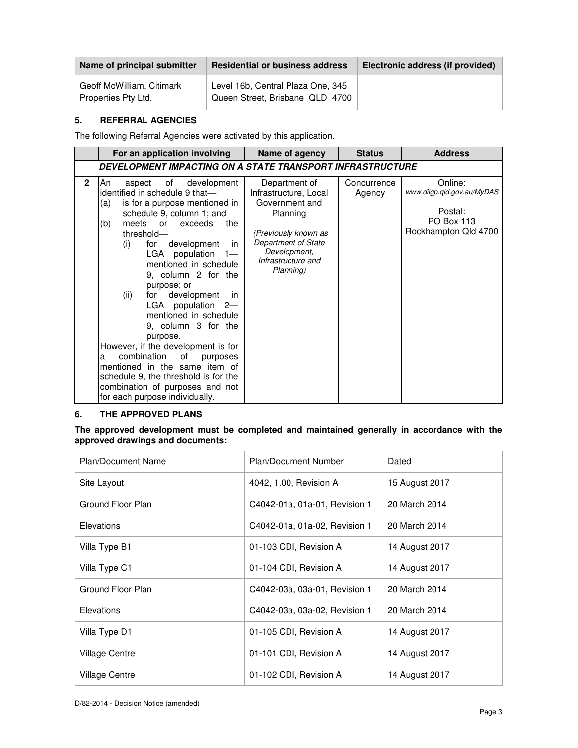| Name of principal submitter                      | <b>Residential or business address</b>                               | Electronic address (if provided) |
|--------------------------------------------------|----------------------------------------------------------------------|----------------------------------|
| Geoff McWilliam, Citimark<br>Properties Pty Ltd. | Level 16b, Central Plaza One, 345<br>Queen Street, Brisbane QLD 4700 |                                  |

### **5. REFERRAL AGENCIES**

The following Referral Agencies were activated by this application.

|              | For an application involving                                                                                                                                                                                                                                                                                                                                                                                                                                                                                                                                                                                                                                               | Name of agency                                                                                                                                                                | <b>Status</b>         | <b>Address</b>                                                                                |
|--------------|----------------------------------------------------------------------------------------------------------------------------------------------------------------------------------------------------------------------------------------------------------------------------------------------------------------------------------------------------------------------------------------------------------------------------------------------------------------------------------------------------------------------------------------------------------------------------------------------------------------------------------------------------------------------------|-------------------------------------------------------------------------------------------------------------------------------------------------------------------------------|-----------------------|-----------------------------------------------------------------------------------------------|
|              | DEVELOPMENT IMPACTING ON A STATE TRANSPORT INFRASTRUCTURE                                                                                                                                                                                                                                                                                                                                                                                                                                                                                                                                                                                                                  |                                                                                                                                                                               |                       |                                                                                               |
| $\mathbf{2}$ | of<br>development<br>An<br>aspect<br>identified in schedule 9 that-<br>is for a purpose mentioned in<br>(a)<br>schedule 9, column 1; and<br>the<br>(b)<br>meets<br>exceeds<br>or<br>threshold-<br>for<br>development<br>(i)<br>in<br>LGA population<br>$1 -$<br>mentioned in schedule<br>9, column 2 for the<br>purpose; or<br>development<br>(ii)<br>for<br>in<br>LGA population 2-<br>mentioned in schedule<br>9, column 3 for the<br>purpose.<br>However, if the development is for<br>combination<br>of<br>purposes<br>a<br>mentioned in the same item of<br>schedule 9, the threshold is for the<br>combination of purposes and not<br>for each purpose individually. | Department of<br>Infrastructure, Local<br>Government and<br>Planning<br>(Previously known as<br><b>Department of State</b><br>Development,<br>Infrastructure and<br>Planning) | Concurrence<br>Agency | Online:<br>www.dilgp.qld.gov.au/MyDAS<br>Postal:<br><b>PO Box 113</b><br>Rockhampton Qld 4700 |

#### **6. THE APPROVED PLANS**

**The approved development must be completed and maintained generally in accordance with the approved drawings and documents:** 

| <b>Plan/Document Name</b> | Plan/Document Number          | Dated          |
|---------------------------|-------------------------------|----------------|
| Site Layout               | 4042, 1.00, Revision A        | 15 August 2017 |
| Ground Floor Plan         | C4042-01a, 01a-01, Revision 1 | 20 March 2014  |
| Elevations                | C4042-01a, 01a-02, Revision 1 | 20 March 2014  |
| Villa Type B1             | 01-103 CDI, Revision A        | 14 August 2017 |
| Villa Type C1             | 01-104 CDI, Revision A        | 14 August 2017 |
| Ground Floor Plan         | C4042-03a, 03a-01, Revision 1 | 20 March 2014  |
| Elevations                | C4042-03a, 03a-02, Revision 1 | 20 March 2014  |
| Villa Type D1             | 01-105 CDI, Revision A        | 14 August 2017 |
| <b>Village Centre</b>     | 01-101 CDI, Revision A        | 14 August 2017 |
| Village Centre            | 01-102 CDI, Revision A        | 14 August 2017 |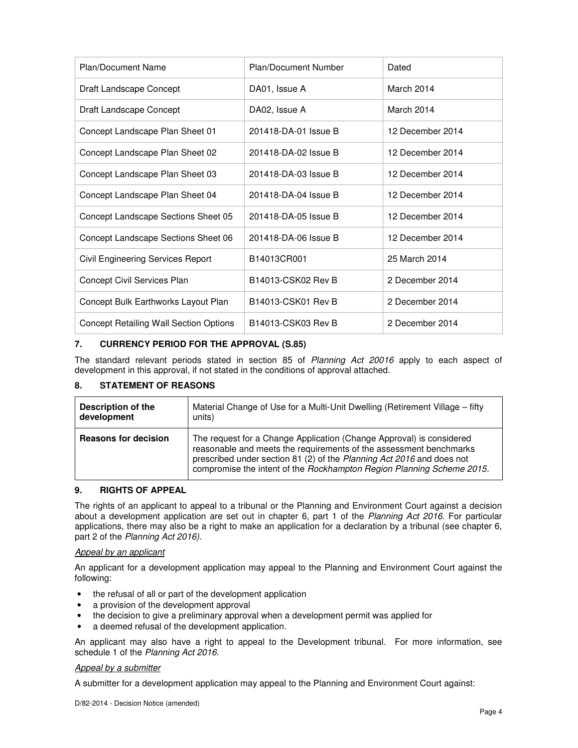| Plan/Document Name                     | <b>Plan/Document Number</b> | Dated            |
|----------------------------------------|-----------------------------|------------------|
| Draft Landscape Concept                | DA01, Issue A               | March 2014       |
| Draft Landscape Concept                | DA02, Issue A               | March 2014       |
| Concept Landscape Plan Sheet 01        | 201418-DA-01 Issue B        | 12 December 2014 |
| Concept Landscape Plan Sheet 02        | 201418-DA-02 Issue B        | 12 December 2014 |
| Concept Landscape Plan Sheet 03        | 201418-DA-03 Issue B        | 12 December 2014 |
| Concept Landscape Plan Sheet 04        | 201418-DA-04 Issue B        | 12 December 2014 |
| Concept Landscape Sections Sheet 05    | 201418-DA-05 Issue B        | 12 December 2014 |
| Concept Landscape Sections Sheet 06    | 201418-DA-06 Issue B        | 12 December 2014 |
| Civil Engineering Services Report      | B14013CR001                 | 25 March 2014    |
| Concept Civil Services Plan            | B14013-CSK02 Rev B          | 2 December 2014  |
| Concept Bulk Earthworks Layout Plan    | B14013-CSK01 Rev B          | 2 December 2014  |
| Concept Retailing Wall Section Options | B14013-CSK03 Rev B          | 2 December 2014  |

#### **7. CURRENCY PERIOD FOR THE APPROVAL (S.85)**

The standard relevant periods stated in section 85 of Planning Act 20016 apply to each aspect of development in this approval, if not stated in the conditions of approval attached.

#### **8. STATEMENT OF REASONS**

| Description of the          | Material Change of Use for a Multi-Unit Dwelling (Retirement Village – fifty                                                                                                                                                                                                                 |
|-----------------------------|----------------------------------------------------------------------------------------------------------------------------------------------------------------------------------------------------------------------------------------------------------------------------------------------|
| development                 | units)                                                                                                                                                                                                                                                                                       |
| <b>Reasons for decision</b> | The request for a Change Application (Change Approval) is considered<br>reasonable and meets the requirements of the assessment benchmarks<br>prescribed under section 81 (2) of the Planning Act 2016 and does not<br>compromise the intent of the Rockhampton Region Planning Scheme 2015. |

### **9. RIGHTS OF APPEAL**

The rights of an applicant to appeal to a tribunal or the Planning and Environment Court against a decision about a development application are set out in chapter 6, part 1 of the Planning Act 2016. For particular applications, there may also be a right to make an application for a declaration by a tribunal (see chapter 6, part 2 of the Planning Act 2016).

#### Appeal by an applicant

An applicant for a development application may appeal to the Planning and Environment Court against the following:

- the refusal of all or part of the development application
- a provision of the development approval
- the decision to give a preliminary approval when a development permit was applied for
- a deemed refusal of the development application.

An applicant may also have a right to appeal to the Development tribunal. For more information, see schedule 1 of the Planning Act 2016.

#### Appeal by a submitter

A submitter for a development application may appeal to the Planning and Environment Court against: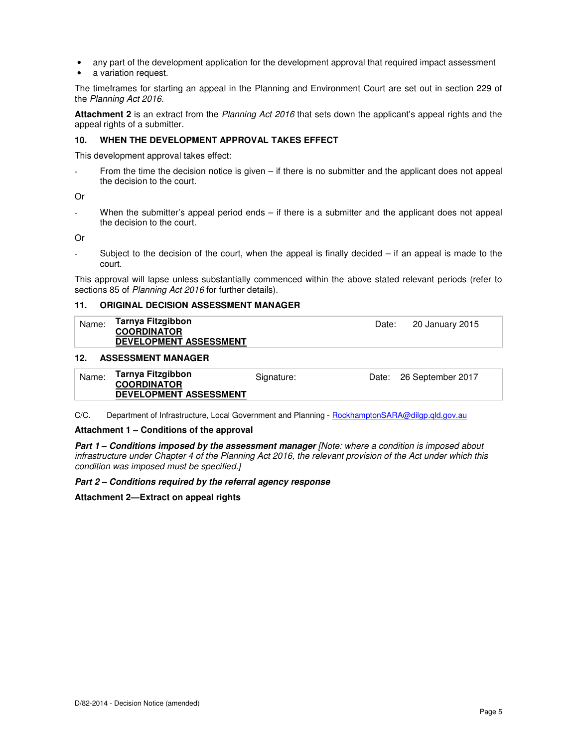- any part of the development application for the development approval that required impact assessment
- a variation request.

The timeframes for starting an appeal in the Planning and Environment Court are set out in section 229 of the Planning Act 2016.

**Attachment 2** is an extract from the Planning Act 2016 that sets down the applicant's appeal rights and the appeal rights of a submitter.

#### **10. WHEN THE DEVELOPMENT APPROVAL TAKES EFFECT**

This development approval takes effect:

From the time the decision notice is given  $-$  if there is no submitter and the applicant does not appeal the decision to the court.

Or

When the submitter's appeal period ends  $-$  if there is a submitter and the applicant does not appeal the decision to the court.

Or

- Subject to the decision of the court, when the appeal is finally decided – if an appeal is made to the court.

This approval will lapse unless substantially commenced within the above stated relevant periods (refer to sections 85 of Planning Act 2016 for further details).

#### **11. ORIGINAL DECISION ASSESSMENT MANAGER**

| Name: | Tarnya Fitzgibbon<br><b>COORDINATOR</b><br><b>DEVELOPMENT ASSESSMENT</b> | Date: | 20 January 2015 |
|-------|--------------------------------------------------------------------------|-------|-----------------|
|       |                                                                          |       |                 |

#### **12. ASSESSMENT MANAGER**

| Tarnya Fitzgibbon<br>Name:<br>Date: 26 September 2017<br>Signature:<br><b>COORDINATOR</b><br><b>DEVELOPMENT ASSESSMENT</b> |  |
|----------------------------------------------------------------------------------------------------------------------------|--|
|----------------------------------------------------------------------------------------------------------------------------|--|

C/C. Department of Infrastructure, Local Government and Planning - RockhamptonSARA@dilgp.qld.gov.au

#### **Attachment 1 – Conditions of the approval**

**Part 1 – Conditions imposed by the assessment manager** [Note: where a condition is imposed about infrastructure under Chapter 4 of the Planning Act 2016, the relevant provision of the Act under which this condition was imposed must be specified.]

#### **Part 2 – Conditions required by the referral agency response**

**Attachment 2—Extract on appeal rights**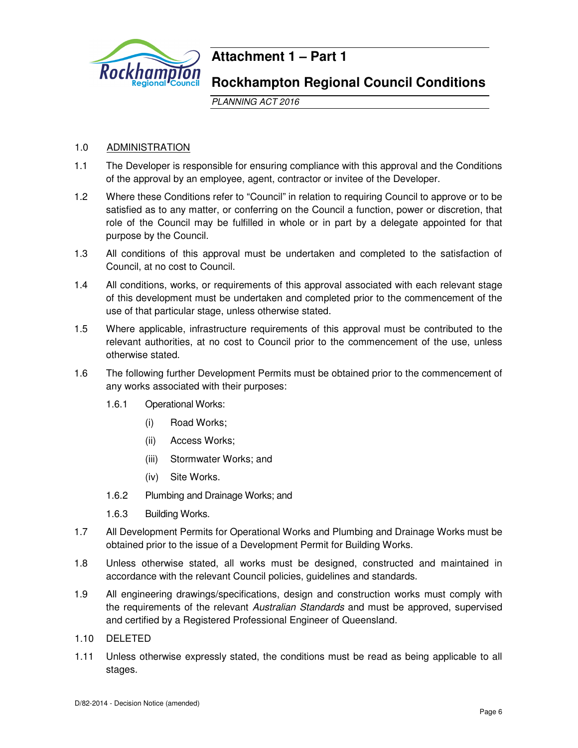

## **Attachment 1 – Part 1**

## **Rockhampton Regional Council Conditions**

PLANNING ACT 2016

## 1.0 ADMINISTRATION

- 1.1 The Developer is responsible for ensuring compliance with this approval and the Conditions of the approval by an employee, agent, contractor or invitee of the Developer.
- 1.2 Where these Conditions refer to "Council" in relation to requiring Council to approve or to be satisfied as to any matter, or conferring on the Council a function, power or discretion, that role of the Council may be fulfilled in whole or in part by a delegate appointed for that purpose by the Council.
- 1.3 All conditions of this approval must be undertaken and completed to the satisfaction of Council, at no cost to Council.
- 1.4 All conditions, works, or requirements of this approval associated with each relevant stage of this development must be undertaken and completed prior to the commencement of the use of that particular stage, unless otherwise stated.
- 1.5 Where applicable, infrastructure requirements of this approval must be contributed to the relevant authorities, at no cost to Council prior to the commencement of the use, unless otherwise stated.
- 1.6 The following further Development Permits must be obtained prior to the commencement of any works associated with their purposes:
	- 1.6.1 Operational Works:
		- (i) Road Works;
		- (ii) Access Works;
		- (iii) Stormwater Works; and
		- (iv) Site Works.
	- 1.6.2 Plumbing and Drainage Works; and
	- 1.6.3 Building Works.
- 1.7 All Development Permits for Operational Works and Plumbing and Drainage Works must be obtained prior to the issue of a Development Permit for Building Works.
- 1.8 Unless otherwise stated, all works must be designed, constructed and maintained in accordance with the relevant Council policies, guidelines and standards.
- 1.9 All engineering drawings/specifications, design and construction works must comply with the requirements of the relevant Australian Standards and must be approved, supervised and certified by a Registered Professional Engineer of Queensland.
- 1.10 DELETED
- 1.11 Unless otherwise expressly stated, the conditions must be read as being applicable to all stages.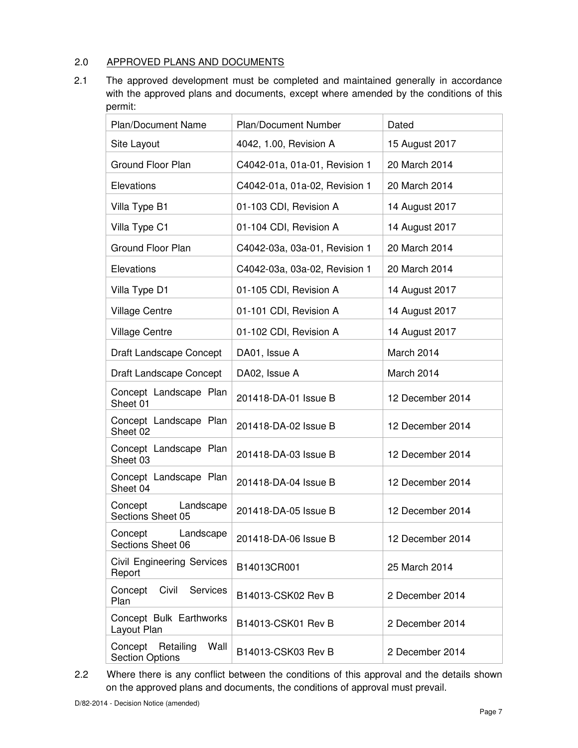## 2.0 APPROVED PLANS AND DOCUMENTS

2.1 The approved development must be completed and maintained generally in accordance with the approved plans and documents, except where amended by the conditions of this permit:

| <b>Plan/Document Name</b>                           | <b>Plan/Document Number</b>   | Dated            |
|-----------------------------------------------------|-------------------------------|------------------|
| Site Layout                                         | 4042, 1.00, Revision A        | 15 August 2017   |
| Ground Floor Plan                                   | C4042-01a, 01a-01, Revision 1 | 20 March 2014    |
| Elevations                                          | C4042-01a, 01a-02, Revision 1 | 20 March 2014    |
| Villa Type B1                                       | 01-103 CDI, Revision A        | 14 August 2017   |
| Villa Type C1                                       | 01-104 CDI, Revision A        | 14 August 2017   |
| <b>Ground Floor Plan</b>                            | C4042-03a, 03a-01, Revision 1 | 20 March 2014    |
| Elevations                                          | C4042-03a, 03a-02, Revision 1 | 20 March 2014    |
| Villa Type D1                                       | 01-105 CDI, Revision A        | 14 August 2017   |
| <b>Village Centre</b>                               | 01-101 CDI, Revision A        | 14 August 2017   |
| <b>Village Centre</b>                               | 01-102 CDI, Revision A        | 14 August 2017   |
| Draft Landscape Concept                             | DA01, Issue A                 | March 2014       |
| Draft Landscape Concept                             | DA02, Issue A                 | March 2014       |
| Concept Landscape Plan<br>Sheet 01                  | 201418-DA-01 Issue B          | 12 December 2014 |
| Concept Landscape Plan<br>Sheet 02                  | 201418-DA-02 Issue B          | 12 December 2014 |
| Concept Landscape Plan<br>Sheet 03                  | 201418-DA-03 Issue B          | 12 December 2014 |
| Concept Landscape Plan<br>Sheet 04                  | 201418-DA-04 Issue B          | 12 December 2014 |
| Concept<br>Landscape<br>Sections Sheet 05           | 201418-DA-05 Issue B          | 12 December 2014 |
| Concept<br>Landscape<br>Sections Sheet 06           | 201418-DA-06 Issue B          | 12 December 2014 |
| <b>Civil Engineering Services</b><br>Report         | B14013CR001                   | 25 March 2014    |
| Civil<br>Services<br>Concept<br>Plan                | B14013-CSK02 Rev B            | 2 December 2014  |
| Concept Bulk Earthworks<br>Layout Plan              | B14013-CSK01 Rev B            | 2 December 2014  |
| Concept Retailing<br>Wall<br><b>Section Options</b> | B14013-CSK03 Rev B            | 2 December 2014  |

2.2 Where there is any conflict between the conditions of this approval and the details shown on the approved plans and documents, the conditions of approval must prevail.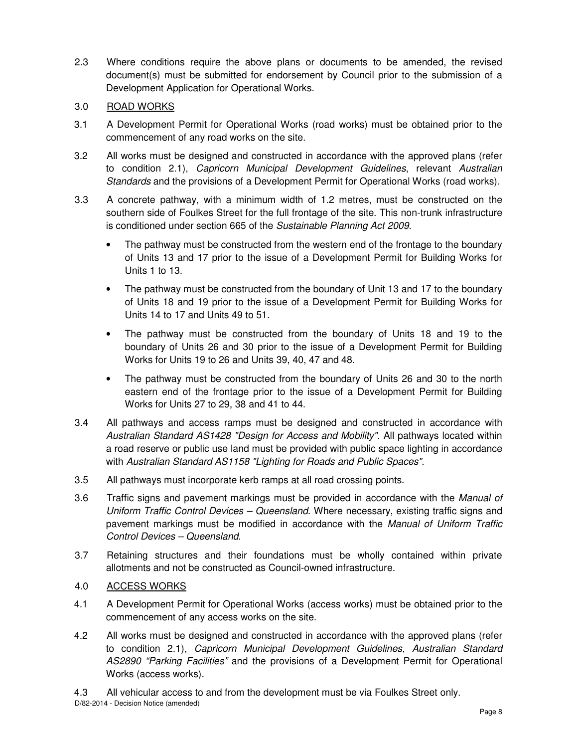2.3 Where conditions require the above plans or documents to be amended, the revised document(s) must be submitted for endorsement by Council prior to the submission of a Development Application for Operational Works.

## 3.0 ROAD WORKS

- 3.1 A Development Permit for Operational Works (road works) must be obtained prior to the commencement of any road works on the site.
- 3.2 All works must be designed and constructed in accordance with the approved plans (refer to condition 2.1), Capricorn Municipal Development Guidelines, relevant Australian Standards and the provisions of a Development Permit for Operational Works (road works).
- 3.3 A concrete pathway, with a minimum width of 1.2 metres, must be constructed on the southern side of Foulkes Street for the full frontage of the site. This non-trunk infrastructure is conditioned under section 665 of the Sustainable Planning Act 2009.
	- The pathway must be constructed from the western end of the frontage to the boundary of Units 13 and 17 prior to the issue of a Development Permit for Building Works for Units 1 to 13.
	- The pathway must be constructed from the boundary of Unit 13 and 17 to the boundary of Units 18 and 19 prior to the issue of a Development Permit for Building Works for Units 14 to 17 and Units 49 to 51.
	- The pathway must be constructed from the boundary of Units 18 and 19 to the boundary of Units 26 and 30 prior to the issue of a Development Permit for Building Works for Units 19 to 26 and Units 39, 40, 47 and 48.
	- The pathway must be constructed from the boundary of Units 26 and 30 to the north eastern end of the frontage prior to the issue of a Development Permit for Building Works for Units 27 to 29, 38 and 41 to 44.
- 3.4 All pathways and access ramps must be designed and constructed in accordance with Australian Standard AS1428 "Design for Access and Mobility". All pathways located within a road reserve or public use land must be provided with public space lighting in accordance with Australian Standard AS1158 "Lighting for Roads and Public Spaces".
- 3.5 All pathways must incorporate kerb ramps at all road crossing points.
- 3.6 Traffic signs and pavement markings must be provided in accordance with the Manual of Uniform Traffic Control Devices – Queensland. Where necessary, existing traffic signs and pavement markings must be modified in accordance with the Manual of Uniform Traffic Control Devices – Queensland.
- 3.7 Retaining structures and their foundations must be wholly contained within private allotments and not be constructed as Council-owned infrastructure.

## 4.0 ACCESS WORKS

- 4.1 A Development Permit for Operational Works (access works) must be obtained prior to the commencement of any access works on the site.
- 4.2 All works must be designed and constructed in accordance with the approved plans (refer to condition 2.1), Capricorn Municipal Development Guidelines, Australian Standard AS2890 "Parking Facilities" and the provisions of a Development Permit for Operational Works (access works).
- D/82-2014 Decision Notice (amended) 4.3 All vehicular access to and from the development must be via Foulkes Street only.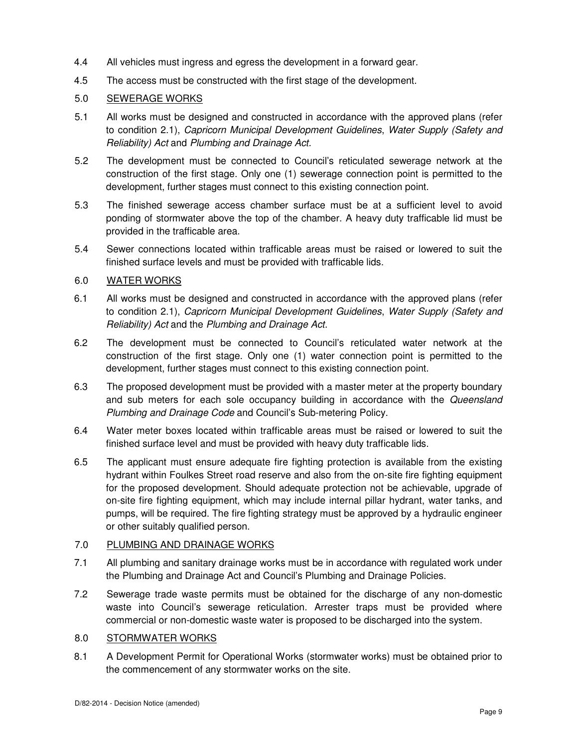- 4.4 All vehicles must ingress and egress the development in a forward gear.
- 4.5 The access must be constructed with the first stage of the development.

## 5.0 SEWERAGE WORKS

- 5.1 All works must be designed and constructed in accordance with the approved plans (refer to condition 2.1), Capricorn Municipal Development Guidelines, Water Supply (Safety and Reliability) Act and Plumbing and Drainage Act.
- 5.2 The development must be connected to Council's reticulated sewerage network at the construction of the first stage. Only one (1) sewerage connection point is permitted to the development, further stages must connect to this existing connection point.
- 5.3 The finished sewerage access chamber surface must be at a sufficient level to avoid ponding of stormwater above the top of the chamber. A heavy duty trafficable lid must be provided in the trafficable area.
- 5.4 Sewer connections located within trafficable areas must be raised or lowered to suit the finished surface levels and must be provided with trafficable lids.

## 6.0 WATER WORKS

- 6.1 All works must be designed and constructed in accordance with the approved plans (refer to condition 2.1), Capricorn Municipal Development Guidelines, Water Supply (Safety and Reliability) Act and the Plumbing and Drainage Act.
- 6.2 The development must be connected to Council's reticulated water network at the construction of the first stage. Only one (1) water connection point is permitted to the development, further stages must connect to this existing connection point.
- 6.3 The proposed development must be provided with a master meter at the property boundary and sub meters for each sole occupancy building in accordance with the Queensland Plumbing and Drainage Code and Council's Sub-metering Policy.
- 6.4 Water meter boxes located within trafficable areas must be raised or lowered to suit the finished surface level and must be provided with heavy duty trafficable lids.
- 6.5 The applicant must ensure adequate fire fighting protection is available from the existing hydrant within Foulkes Street road reserve and also from the on-site fire fighting equipment for the proposed development. Should adequate protection not be achievable, upgrade of on-site fire fighting equipment, which may include internal pillar hydrant, water tanks, and pumps, will be required. The fire fighting strategy must be approved by a hydraulic engineer or other suitably qualified person.

## 7.0 PLUMBING AND DRAINAGE WORKS

- 7.1 All plumbing and sanitary drainage works must be in accordance with regulated work under the Plumbing and Drainage Act and Council's Plumbing and Drainage Policies.
- 7.2 Sewerage trade waste permits must be obtained for the discharge of any non-domestic waste into Council's sewerage reticulation. Arrester traps must be provided where commercial or non-domestic waste water is proposed to be discharged into the system.

## 8.0 STORMWATER WORKS

8.1 A Development Permit for Operational Works (stormwater works) must be obtained prior to the commencement of any stormwater works on the site.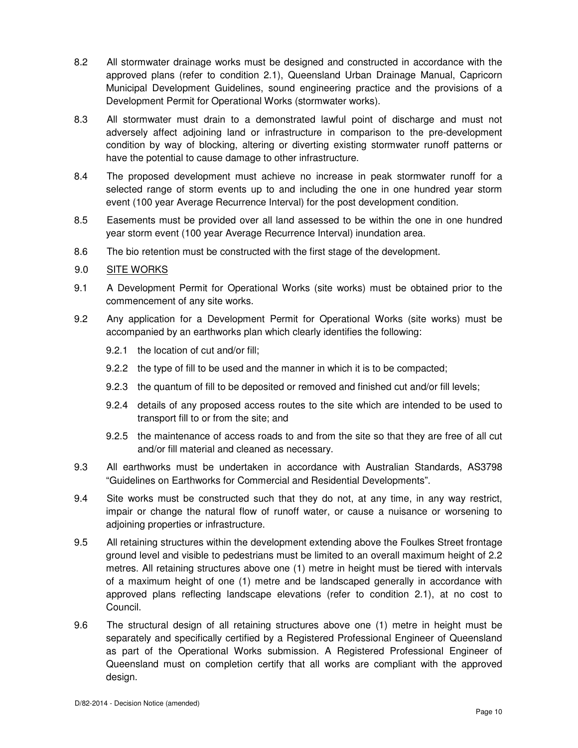- 8.2 All stormwater drainage works must be designed and constructed in accordance with the approved plans (refer to condition 2.1), Queensland Urban Drainage Manual, Capricorn Municipal Development Guidelines, sound engineering practice and the provisions of a Development Permit for Operational Works (stormwater works).
- 8.3 All stormwater must drain to a demonstrated lawful point of discharge and must not adversely affect adjoining land or infrastructure in comparison to the pre-development condition by way of blocking, altering or diverting existing stormwater runoff patterns or have the potential to cause damage to other infrastructure.
- 8.4 The proposed development must achieve no increase in peak stormwater runoff for a selected range of storm events up to and including the one in one hundred year storm event (100 year Average Recurrence Interval) for the post development condition.
- 8.5 Easements must be provided over all land assessed to be within the one in one hundred year storm event (100 year Average Recurrence Interval) inundation area.
- 8.6 The bio retention must be constructed with the first stage of the development.
- 9.0 SITE WORKS
- 9.1 A Development Permit for Operational Works (site works) must be obtained prior to the commencement of any site works.
- 9.2 Any application for a Development Permit for Operational Works (site works) must be accompanied by an earthworks plan which clearly identifies the following:
	- 9.2.1 the location of cut and/or fill;
	- 9.2.2 the type of fill to be used and the manner in which it is to be compacted;
	- 9.2.3 the quantum of fill to be deposited or removed and finished cut and/or fill levels;
	- 9.2.4 details of any proposed access routes to the site which are intended to be used to transport fill to or from the site; and
	- 9.2.5 the maintenance of access roads to and from the site so that they are free of all cut and/or fill material and cleaned as necessary.
- 9.3 All earthworks must be undertaken in accordance with Australian Standards, AS3798 "Guidelines on Earthworks for Commercial and Residential Developments".
- 9.4 Site works must be constructed such that they do not, at any time, in any way restrict, impair or change the natural flow of runoff water, or cause a nuisance or worsening to adjoining properties or infrastructure.
- 9.5 All retaining structures within the development extending above the Foulkes Street frontage ground level and visible to pedestrians must be limited to an overall maximum height of 2.2 metres. All retaining structures above one (1) metre in height must be tiered with intervals of a maximum height of one (1) metre and be landscaped generally in accordance with approved plans reflecting landscape elevations (refer to condition 2.1), at no cost to Council.
- 9.6 The structural design of all retaining structures above one (1) metre in height must be separately and specifically certified by a Registered Professional Engineer of Queensland as part of the Operational Works submission. A Registered Professional Engineer of Queensland must on completion certify that all works are compliant with the approved design.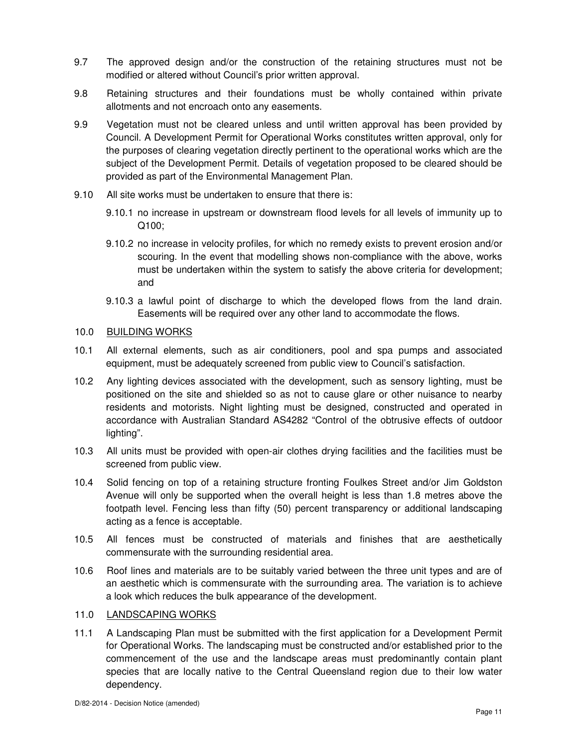- 9.7 The approved design and/or the construction of the retaining structures must not be modified or altered without Council's prior written approval.
- 9.8 Retaining structures and their foundations must be wholly contained within private allotments and not encroach onto any easements.
- 9.9 Vegetation must not be cleared unless and until written approval has been provided by Council. A Development Permit for Operational Works constitutes written approval, only for the purposes of clearing vegetation directly pertinent to the operational works which are the subject of the Development Permit. Details of vegetation proposed to be cleared should be provided as part of the Environmental Management Plan.
- 9.10 All site works must be undertaken to ensure that there is:
	- 9.10.1 no increase in upstream or downstream flood levels for all levels of immunity up to Q100;
	- 9.10.2 no increase in velocity profiles, for which no remedy exists to prevent erosion and/or scouring. In the event that modelling shows non-compliance with the above, works must be undertaken within the system to satisfy the above criteria for development; and
	- 9.10.3 a lawful point of discharge to which the developed flows from the land drain. Easements will be required over any other land to accommodate the flows.

## 10.0 BUILDING WORKS

- 10.1 All external elements, such as air conditioners, pool and spa pumps and associated equipment, must be adequately screened from public view to Council's satisfaction.
- 10.2 Any lighting devices associated with the development, such as sensory lighting, must be positioned on the site and shielded so as not to cause glare or other nuisance to nearby residents and motorists. Night lighting must be designed, constructed and operated in accordance with Australian Standard AS4282 "Control of the obtrusive effects of outdoor lighting".
- 10.3 All units must be provided with open-air clothes drying facilities and the facilities must be screened from public view.
- 10.4 Solid fencing on top of a retaining structure fronting Foulkes Street and/or Jim Goldston Avenue will only be supported when the overall height is less than 1.8 metres above the footpath level. Fencing less than fifty (50) percent transparency or additional landscaping acting as a fence is acceptable.
- 10.5 All fences must be constructed of materials and finishes that are aesthetically commensurate with the surrounding residential area.
- 10.6 Roof lines and materials are to be suitably varied between the three unit types and are of an aesthetic which is commensurate with the surrounding area. The variation is to achieve a look which reduces the bulk appearance of the development.

#### 11.0 LANDSCAPING WORKS

11.1 A Landscaping Plan must be submitted with the first application for a Development Permit for Operational Works. The landscaping must be constructed and/or established prior to the commencement of the use and the landscape areas must predominantly contain plant species that are locally native to the Central Queensland region due to their low water dependency.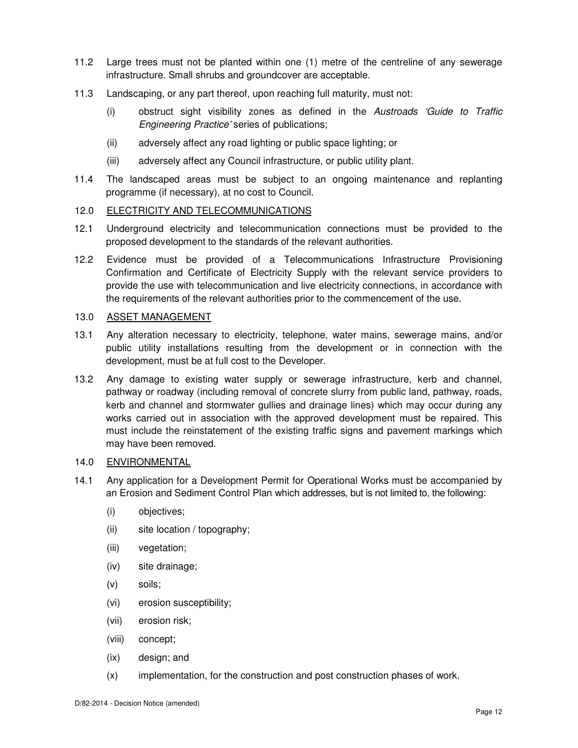- 11.2 Large trees must not be planted within one (1) metre of the centreline of any sewerage infrastructure. Small shrubs and groundcover are acceptable.
- 11.3 Landscaping, or any part thereof, upon reaching full maturity, must not:
	- (i) obstruct sight visibility zones as defined in the Austroads 'Guide to Traffic Engineering Practice' series of publications;
	- (ii) adversely affect any road lighting or public space lighting; or
	- (iii) adversely affect any Council infrastructure, or public utility plant.
- 11.4 The landscaped areas must be subject to an ongoing maintenance and replanting programme (if necessary), at no cost to Council.

## 12.0 ELECTRICITY AND TELECOMMUNICATIONS

- 12.1 Underground electricity and telecommunication connections must be provided to the proposed development to the standards of the relevant authorities.
- 12.2 Evidence must be provided of a Telecommunications Infrastructure Provisioning Confirmation and Certificate of Electricity Supply with the relevant service providers to provide the use with telecommunication and live electricity connections, in accordance with the requirements of the relevant authorities prior to the commencement of the use.

#### 13.0 ASSET MANAGEMENT

- 13.1 Any alteration necessary to electricity, telephone, water mains, sewerage mains, and/or public utility installations resulting from the development or in connection with the development, must be at full cost to the Developer.
- 13.2 Any damage to existing water supply or sewerage infrastructure, kerb and channel, pathway or roadway (including removal of concrete slurry from public land, pathway, roads, kerb and channel and stormwater gullies and drainage lines) which may occur during any works carried out in association with the approved development must be repaired. This must include the reinstatement of the existing traffic signs and pavement markings which may have been removed.

## 14.0 ENVIRONMENTAL

- 14.1 Any application for a Development Permit for Operational Works must be accompanied by an Erosion and Sediment Control Plan which addresses, but is not limited to, the following:
	- (i) objectives;
	- (ii) site location / topography;
	- (iii) vegetation;
	- (iv) site drainage;
	- (v) soils;
	- (vi) erosion susceptibility;
	- (vii) erosion risk;
	- (viii) concept;
	- (ix) design; and
	- (x) implementation, for the construction and post construction phases of work.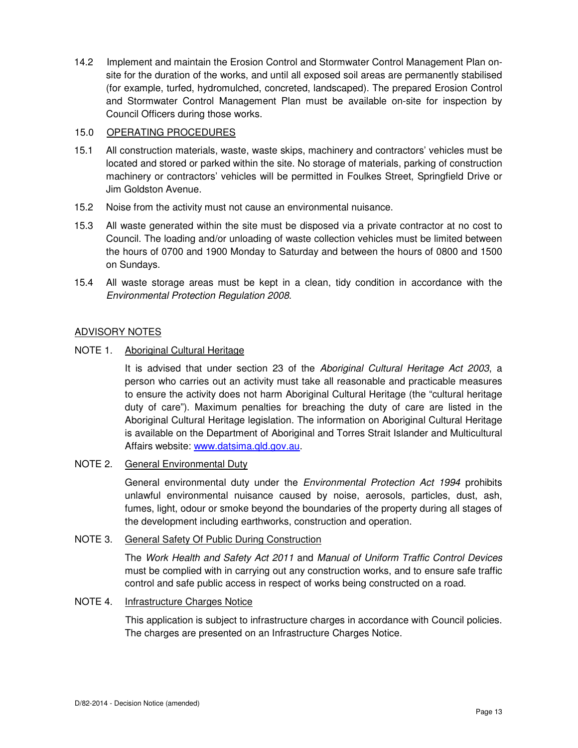14.2 Implement and maintain the Erosion Control and Stormwater Control Management Plan onsite for the duration of the works, and until all exposed soil areas are permanently stabilised (for example, turfed, hydromulched, concreted, landscaped). The prepared Erosion Control and Stormwater Control Management Plan must be available on-site for inspection by Council Officers during those works.

## 15.0 OPERATING PROCEDURES

- 15.1 All construction materials, waste, waste skips, machinery and contractors' vehicles must be located and stored or parked within the site. No storage of materials, parking of construction machinery or contractors' vehicles will be permitted in Foulkes Street, Springfield Drive or Jim Goldston Avenue.
- 15.2 Noise from the activity must not cause an environmental nuisance.
- 15.3 All waste generated within the site must be disposed via a private contractor at no cost to Council. The loading and/or unloading of waste collection vehicles must be limited between the hours of 0700 and 1900 Monday to Saturday and between the hours of 0800 and 1500 on Sundays.
- 15.4 All waste storage areas must be kept in a clean, tidy condition in accordance with the Environmental Protection Regulation 2008.

## ADVISORY NOTES

## NOTE 1. Aboriginal Cultural Heritage

It is advised that under section 23 of the Aboriginal Cultural Heritage Act 2003, a person who carries out an activity must take all reasonable and practicable measures to ensure the activity does not harm Aboriginal Cultural Heritage (the "cultural heritage duty of care"). Maximum penalties for breaching the duty of care are listed in the Aboriginal Cultural Heritage legislation. The information on Aboriginal Cultural Heritage is available on the Department of Aboriginal and Torres Strait Islander and Multicultural Affairs website: www.datsima.qld.gov.au.

## NOTE 2. General Environmental Duty

General environmental duty under the *Environmental Protection Act 1994* prohibits unlawful environmental nuisance caused by noise, aerosols, particles, dust, ash, fumes, light, odour or smoke beyond the boundaries of the property during all stages of the development including earthworks, construction and operation.

## NOTE 3. General Safety Of Public During Construction

The Work Health and Safety Act 2011 and Manual of Uniform Traffic Control Devices must be complied with in carrying out any construction works, and to ensure safe traffic control and safe public access in respect of works being constructed on a road.

## NOTE 4. Infrastructure Charges Notice

 This application is subject to infrastructure charges in accordance with Council policies. The charges are presented on an Infrastructure Charges Notice.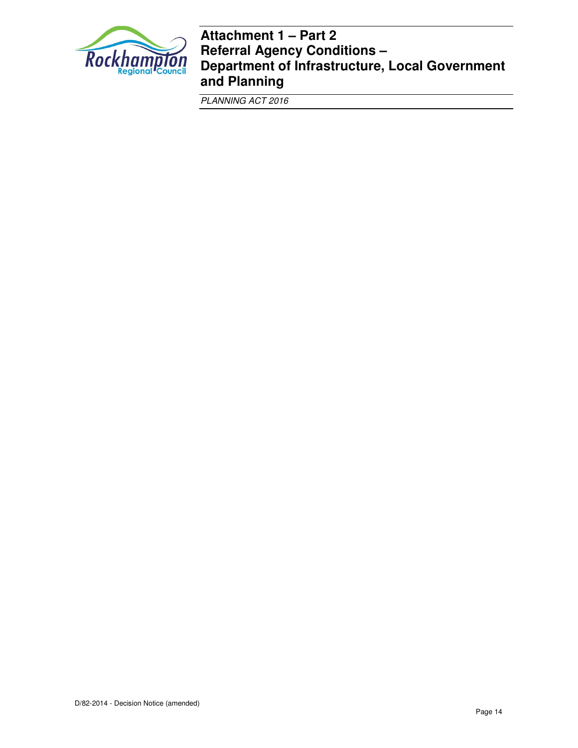

## **Attachment 1 – Part 2 Referral Agency Conditions – Department of Infrastructure, Local Government and Planning**

PLANNING ACT 2016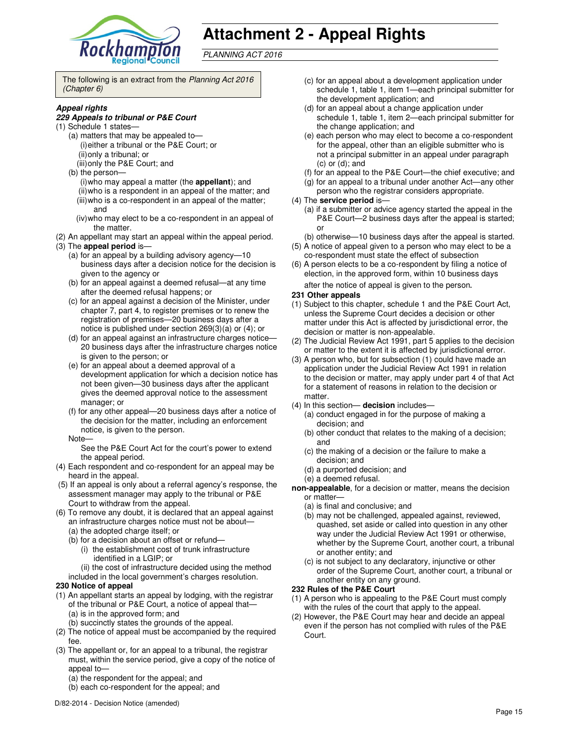

# **Attachment 2 - Appeal Rights**

PLANNING ACT 2016

The following is an extract from the Planning Act 2016 (Chapter 6)

#### **Appeal rights**

#### **229 Appeals to tribunal or P&E Court**

- (1) Schedule 1 states—
	- (a) matters that may be appealed to— (i) either a tribunal or the P&E Court; or (ii) only a tribunal; or (iii) only the P&E Court; and
	- (b) the person—
		- (i) who may appeal a matter (the **appellant**); and (ii) who is a respondent in an appeal of the matter; and (iii) who is a co-respondent in an appeal of the matter; and
		- (iv) who may elect to be a co-respondent in an appeal of the matter.
- (2) An appellant may start an appeal within the appeal period.
- (3) The **appeal period** is—
	- (a) for an appeal by a building advisory agency—10 business days after a decision notice for the decision is given to the agency or
	- (b) for an appeal against a deemed refusal—at any time after the deemed refusal happens; or
	- (c) for an appeal against a decision of the Minister, under chapter 7, part 4, to register premises or to renew the registration of premises—20 business days after a notice is published under section 269(3)(a) or (4); or
	- (d) for an appeal against an infrastructure charges notice— 20 business days after the infrastructure charges notice is given to the person; or
	- (e) for an appeal about a deemed approval of a development application for which a decision notice has not been given—30 business days after the applicant gives the deemed approval notice to the assessment manager; or
	- (f) for any other appeal—20 business days after a notice of the decision for the matter, including an enforcement notice, is given to the person.
	- Note—

See the P&E Court Act for the court's power to extend the appeal period.

- (4) Each respondent and co-respondent for an appeal may be heard in the appeal.
- (5) If an appeal is only about a referral agency's response, the assessment manager may apply to the tribunal or P&E Court to withdraw from the appeal.
- (6) To remove any doubt, it is declared that an appeal against an infrastructure charges notice must not be about—
	- (a) the adopted charge itself; or
	- (b) for a decision about an offset or refund—
		- (i) the establishment cost of trunk infrastructure identified in a LGIP; or
	- (ii) the cost of infrastructure decided using the method included in the local government's charges resolution.

#### **230 Notice of appeal**

- (1) An appellant starts an appeal by lodging, with the registrar of the tribunal or P&E Court, a notice of appeal that— (a) is in the approved form; and
	- (b) succinctly states the grounds of the appeal.
- (2) The notice of appeal must be accompanied by the required fee.
- (3) The appellant or, for an appeal to a tribunal, the registrar must, within the service period, give a copy of the notice of appeal to-
	- (a) the respondent for the appeal; and
	- (b) each co-respondent for the appeal; and
- (c) for an appeal about a development application under schedule 1, table 1, item 1—each principal submitter for the development application; and
- (d) for an appeal about a change application under schedule 1, table 1, item 2—each principal submitter for the change application; and
- (e) each person who may elect to become a co-respondent for the appeal, other than an eligible submitter who is not a principal submitter in an appeal under paragraph (c) or (d); and
- (f) for an appeal to the P&E Court—the chief executive; and
- (g) for an appeal to a tribunal under another Act—any other
- person who the registrar considers appropriate.

#### (4) The **service period** is—

- (a) if a submitter or advice agency started the appeal in the P&E Court-2 business days after the appeal is started; or
- (b) otherwise—10 business days after the appeal is started.
- (5) A notice of appeal given to a person who may elect to be a co-respondent must state the effect of subsection
- (6) A person elects to be a co-respondent by filing a notice of election, in the approved form, within 10 business days after the notice of appeal is given to the person*.*

#### **231 Other appeals**

- (1) Subject to this chapter, schedule 1 and the P&E Court Act, unless the Supreme Court decides a decision or other matter under this Act is affected by jurisdictional error, the decision or matter is non-appealable.
- (2) The Judicial Review Act 1991, part 5 applies to the decision or matter to the extent it is affected by jurisdictional error.
- (3) A person who, but for subsection (1) could have made an application under the Judicial Review Act 1991 in relation to the decision or matter, may apply under part 4 of that Act for a statement of reasons in relation to the decision or matter.
- (4) In this section— **decision** includes—
	- (a) conduct engaged in for the purpose of making a decision; and
	- (b) other conduct that relates to the making of a decision; and
	- (c) the making of a decision or the failure to make a decision; and
	- (d) a purported decision; and
	- (e) a deemed refusal.
- **non-appealable**, for a decision or matter, means the decision or matter—
	- (a) is final and conclusive; and
	- (b) may not be challenged, appealed against, reviewed, quashed, set aside or called into question in any other way under the Judicial Review Act 1991 or otherwise, whether by the Supreme Court, another court, a tribunal or another entity; and
	- (c) is not subject to any declaratory, injunctive or other order of the Supreme Court, another court, a tribunal or another entity on any ground.

#### **232 Rules of the P&E Court**

- (1) A person who is appealing to the P&E Court must comply with the rules of the court that apply to the appeal.
- (2) However, the P&E Court may hear and decide an appeal even if the person has not complied with rules of the P&E Court.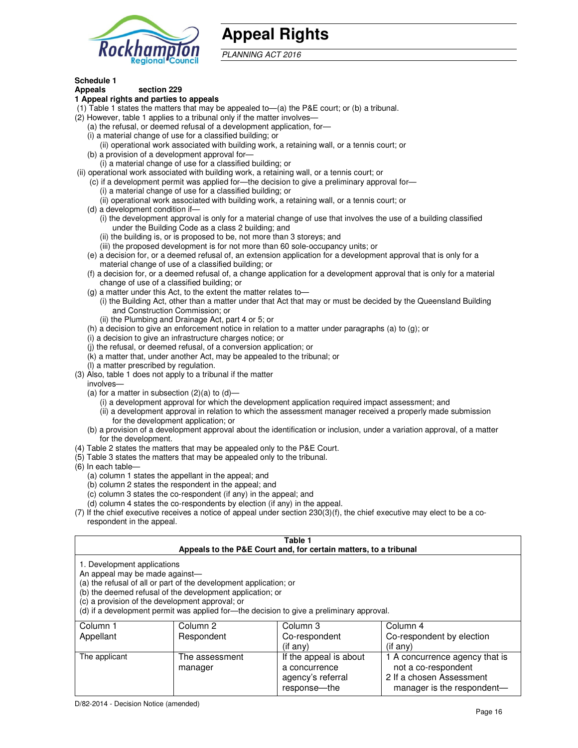

## **Appeal Rights**

PLANNING ACT 2016

## **Schedule 1**

#### **Appeals section 229 1 Appeal rights and parties to appeals**

- (1) Table 1 states the matters that may be appealed to—(a) the P&E court; or (b) a tribunal.
- (2) However, table 1 applies to a tribunal only if the matter involves—
	- (a) the refusal, or deemed refusal of a development application, for—
	- (i) a material change of use for a classified building; or
	- (ii) operational work associated with building work, a retaining wall, or a tennis court; or (b) a provision of a development approval for—
	- (i) a material change of use for a classified building; or
- (ii) operational work associated with building work, a retaining wall, or a tennis court; or
	- (c) if a development permit was applied for—the decision to give a preliminary approval for—
		- (i) a material change of use for a classified building; or
		- (ii) operational work associated with building work, a retaining wall, or a tennis court; or
	- (d) a development condition if—
		- (i) the development approval is only for a material change of use that involves the use of a building classified under the Building Code as a class 2 building; and
		- (ii) the building is, or is proposed to be, not more than 3 storeys; and
		- (iii) the proposed development is for not more than 60 sole-occupancy units; or
	- (e) a decision for, or a deemed refusal of, an extension application for a development approval that is only for a material change of use of a classified building; or
	- (f) a decision for, or a deemed refusal of, a change application for a development approval that is only for a material change of use of a classified building; or
	- (g) a matter under this Act, to the extent the matter relates to—
		- (i) the Building Act, other than a matter under that Act that may or must be decided by the Queensland Building and Construction Commission; or
		- (ii) the Plumbing and Drainage Act, part 4 or 5; or
	- (h) a decision to give an enforcement notice in relation to a matter under paragraphs (a) to (g); or
	- (i) a decision to give an infrastructure charges notice; or
	- (j) the refusal, or deemed refusal, of a conversion application; or
	- (k) a matter that, under another Act, may be appealed to the tribunal; or
	- (l) a matter prescribed by regulation.
- (3) Also, table 1 does not apply to a tribunal if the matter
- involves—
	- (a) for a matter in subsection  $(2)(a)$  to  $(d)$ 
		- (i) a development approval for which the development application required impact assessment; and
		- (ii) a development approval in relation to which the assessment manager received a properly made submission for the development application; or
	- (b) a provision of a development approval about the identification or inclusion, under a variation approval, of a matter for the development.
- (4) Table 2 states the matters that may be appealed only to the P&E Court.
- (5) Table 3 states the matters that may be appealed only to the tribunal.
- (6) In each table—
	- (a) column 1 states the appellant in the appeal; and
	- (b) column 2 states the respondent in the appeal; and
	- (c) column 3 states the co-respondent (if any) in the appeal; and
	- (d) column 4 states the co-respondents by election (if any) in the appeal.
- (7) If the chief executive receives a notice of appeal under section 230(3)(f), the chief executive may elect to be a corespondent in the appeal.

| Table 1<br>Appeals to the P&E Court and, for certain matters, to a tribunal                                                                                                                                                                                                                                                                    |                           |                                                              |                                                                                   |  |
|------------------------------------------------------------------------------------------------------------------------------------------------------------------------------------------------------------------------------------------------------------------------------------------------------------------------------------------------|---------------------------|--------------------------------------------------------------|-----------------------------------------------------------------------------------|--|
| 1. Development applications<br>An appeal may be made against-<br>(a) the refusal of all or part of the development application; or<br>(b) the deemed refusal of the development application; or<br>(c) a provision of the development approval; or<br>(d) if a development permit was applied for-the decision to give a preliminary approval. |                           |                                                              |                                                                                   |  |
| Column 1                                                                                                                                                                                                                                                                                                                                       | Column 2                  | Column 3                                                     | Column 4                                                                          |  |
| Appellant                                                                                                                                                                                                                                                                                                                                      | Respondent                | Co-respondent<br>$($ if any $)$                              | Co-respondent by election<br>(i f any)                                            |  |
| The applicant                                                                                                                                                                                                                                                                                                                                  | The assessment<br>manager | If the appeal is about<br>a concurrence<br>agency's referral | 1 A concurrence agency that is<br>not a co-respondent<br>2 If a chosen Assessment |  |

response—the

manager is the respondent-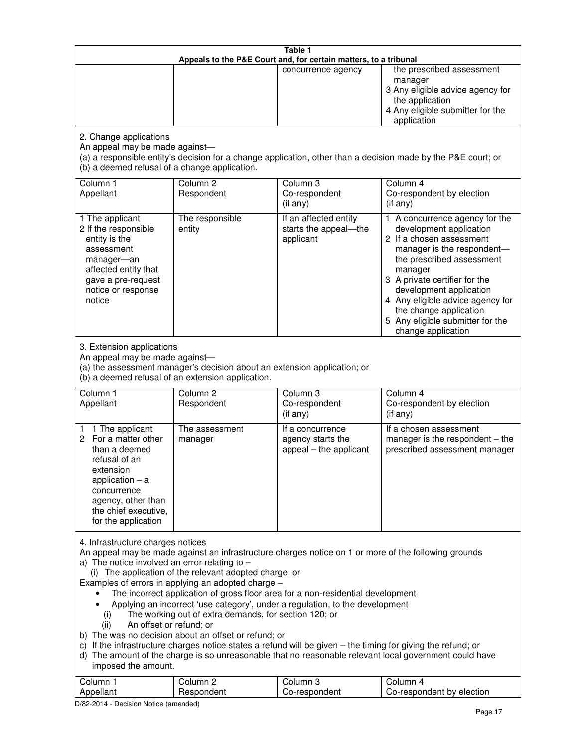| Table 1<br>Appeals to the P&E Court and, for certain matters, to a tribunal                                                                                                                                                                                                                                                                                                                                                                                                                                                                                                                                                                                                                                                                                                                                                                                                                                                                                       |                                                                                                                               |                                                                 |                                                                                                                                                                                                                                                                                                                                                 |  |
|-------------------------------------------------------------------------------------------------------------------------------------------------------------------------------------------------------------------------------------------------------------------------------------------------------------------------------------------------------------------------------------------------------------------------------------------------------------------------------------------------------------------------------------------------------------------------------------------------------------------------------------------------------------------------------------------------------------------------------------------------------------------------------------------------------------------------------------------------------------------------------------------------------------------------------------------------------------------|-------------------------------------------------------------------------------------------------------------------------------|-----------------------------------------------------------------|-------------------------------------------------------------------------------------------------------------------------------------------------------------------------------------------------------------------------------------------------------------------------------------------------------------------------------------------------|--|
|                                                                                                                                                                                                                                                                                                                                                                                                                                                                                                                                                                                                                                                                                                                                                                                                                                                                                                                                                                   |                                                                                                                               | concurrence agency                                              | the prescribed assessment<br>manager<br>3 Any eligible advice agency for<br>the application<br>4 Any eligible submitter for the<br>application                                                                                                                                                                                                  |  |
| 2. Change applications<br>An appeal may be made against-<br>(b) a deemed refusal of a change application.                                                                                                                                                                                                                                                                                                                                                                                                                                                                                                                                                                                                                                                                                                                                                                                                                                                         |                                                                                                                               |                                                                 | (a) a responsible entity's decision for a change application, other than a decision made by the P&E court; or                                                                                                                                                                                                                                   |  |
| Column 1<br>Appellant                                                                                                                                                                                                                                                                                                                                                                                                                                                                                                                                                                                                                                                                                                                                                                                                                                                                                                                                             | Column <sub>2</sub><br>Respondent                                                                                             | Column <sub>3</sub><br>Co-respondent<br>(if any)                | Column 4<br>Co-respondent by election<br>(if any)                                                                                                                                                                                                                                                                                               |  |
| 1 The applicant<br>2 If the responsible<br>entity is the<br>assessment<br>manager-an<br>affected entity that<br>gave a pre-request<br>notice or response<br>notice                                                                                                                                                                                                                                                                                                                                                                                                                                                                                                                                                                                                                                                                                                                                                                                                | The responsible<br>entity                                                                                                     | If an affected entity<br>starts the appeal-the<br>applicant     | 1 A concurrence agency for the<br>development application<br>2 If a chosen assessment<br>manager is the respondent-<br>the prescribed assessment<br>manager<br>3 A private certifier for the<br>development application<br>4 Any eligible advice agency for<br>the change application<br>5 Any eligible submitter for the<br>change application |  |
| 3. Extension applications<br>An appeal may be made against-                                                                                                                                                                                                                                                                                                                                                                                                                                                                                                                                                                                                                                                                                                                                                                                                                                                                                                       | (a) the assessment manager's decision about an extension application; or<br>(b) a deemed refusal of an extension application. |                                                                 |                                                                                                                                                                                                                                                                                                                                                 |  |
| Column 1<br>Appellant                                                                                                                                                                                                                                                                                                                                                                                                                                                                                                                                                                                                                                                                                                                                                                                                                                                                                                                                             | Column <sub>2</sub><br>Respondent                                                                                             | Column 3<br>Co-respondent<br>(if any)                           | Column 4<br>Co-respondent by election<br>(if any)                                                                                                                                                                                                                                                                                               |  |
| 1 The applicant<br>1.<br>For a matter other<br>2<br>than a deemed<br>refusal of an<br>extension<br>application $-$ a<br>concurrence<br>agency, other than<br>the chief executive,<br>for the application                                                                                                                                                                                                                                                                                                                                                                                                                                                                                                                                                                                                                                                                                                                                                          | The assessment<br>manager                                                                                                     | If a concurrence<br>agency starts the<br>appeal - the applicant | If a chosen assessment<br>manager is the respondent - the<br>prescribed assessment manager                                                                                                                                                                                                                                                      |  |
| 4. Infrastructure charges notices<br>An appeal may be made against an infrastructure charges notice on 1 or more of the following grounds<br>a) The notice involved an error relating to $-$<br>(i) The application of the relevant adopted charge; or<br>Examples of errors in applying an adopted charge -<br>The incorrect application of gross floor area for a non-residential development<br>Applying an incorrect 'use category', under a regulation, to the development<br>The working out of extra demands, for section 120; or<br>(i)<br>An offset or refund; or<br>(ii)<br>b) The was no decision about an offset or refund; or<br>c) If the infrastructure charges notice states a refund will be given - the timing for giving the refund; or<br>d) The amount of the charge is so unreasonable that no reasonable relevant local government could have<br>imposed the amount.<br>Column 1<br>Column <sub>2</sub><br>Column <sub>3</sub><br>Column 4 |                                                                                                                               |                                                                 |                                                                                                                                                                                                                                                                                                                                                 |  |
| Appellant                                                                                                                                                                                                                                                                                                                                                                                                                                                                                                                                                                                                                                                                                                                                                                                                                                                                                                                                                         | Respondent                                                                                                                    | Co-respondent                                                   | Co-respondent by election                                                                                                                                                                                                                                                                                                                       |  |

D/82-2014 - Decision Notice (amended)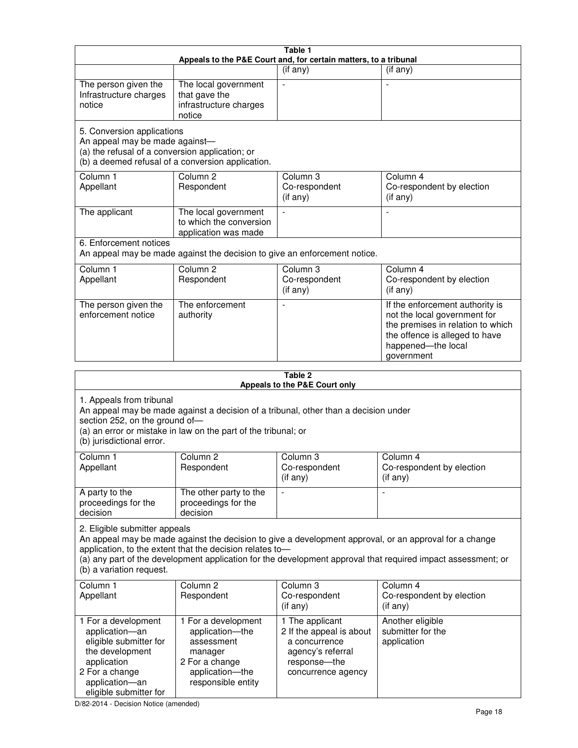| Table 1<br>Appeals to the P&E Court and, for certain matters, to a tribunal                                                                                                                                                                                                                                                                     |                                                                                                                            |                                                                                                                         |                                                                                                                                                                            |  |
|-------------------------------------------------------------------------------------------------------------------------------------------------------------------------------------------------------------------------------------------------------------------------------------------------------------------------------------------------|----------------------------------------------------------------------------------------------------------------------------|-------------------------------------------------------------------------------------------------------------------------|----------------------------------------------------------------------------------------------------------------------------------------------------------------------------|--|
|                                                                                                                                                                                                                                                                                                                                                 |                                                                                                                            | (if any)                                                                                                                | $($ if any $)$                                                                                                                                                             |  |
| The person given the<br>Infrastructure charges<br>notice                                                                                                                                                                                                                                                                                        | The local government<br>that gave the<br>infrastructure charges<br>notice                                                  |                                                                                                                         |                                                                                                                                                                            |  |
| 5. Conversion applications<br>An appeal may be made against-<br>(a) the refusal of a conversion application; or                                                                                                                                                                                                                                 | (b) a deemed refusal of a conversion application.                                                                          |                                                                                                                         |                                                                                                                                                                            |  |
| Column 1<br>Appellant                                                                                                                                                                                                                                                                                                                           | Column <sub>2</sub><br>Respondent                                                                                          | Column 3<br>Co-respondent<br>(if any)                                                                                   | Column 4<br>Co-respondent by election<br>(if any)                                                                                                                          |  |
| The applicant                                                                                                                                                                                                                                                                                                                                   | The local government<br>to which the conversion<br>application was made                                                    |                                                                                                                         | $\blacksquare$                                                                                                                                                             |  |
| 6. Enforcement notices                                                                                                                                                                                                                                                                                                                          |                                                                                                                            | An appeal may be made against the decision to give an enforcement notice.                                               |                                                                                                                                                                            |  |
| Column 1<br>Appellant                                                                                                                                                                                                                                                                                                                           | Column <sub>2</sub><br>Respondent                                                                                          | Column 3<br>Co-respondent<br>(if any)                                                                                   | Column 4<br>Co-respondent by election<br>(if any)                                                                                                                          |  |
| The person given the<br>enforcement notice                                                                                                                                                                                                                                                                                                      | The enforcement<br>authority                                                                                               |                                                                                                                         | If the enforcement authority is<br>not the local government for<br>the premises in relation to which<br>the offence is alleged to have<br>happened-the local<br>government |  |
|                                                                                                                                                                                                                                                                                                                                                 |                                                                                                                            | Table 2<br>Appeals to the P&E Court only                                                                                |                                                                                                                                                                            |  |
| 1. Appeals from tribunal<br>An appeal may be made against a decision of a tribunal, other than a decision under<br>section 252, on the ground of-<br>(a) an error or mistake in law on the part of the tribunal; or<br>(b) jurisdictional error.                                                                                                |                                                                                                                            |                                                                                                                         |                                                                                                                                                                            |  |
| Column 1<br>Appellant                                                                                                                                                                                                                                                                                                                           | Column 2<br>Respondent                                                                                                     | Column 3<br>Co-respondent<br>(if any)                                                                                   | Column 4<br>Co-respondent by election<br>$($ if any $)$                                                                                                                    |  |
| A party to the<br>proceedings for the<br>decision                                                                                                                                                                                                                                                                                               | The other party to the<br>proceedings for the<br>decision                                                                  |                                                                                                                         |                                                                                                                                                                            |  |
| 2. Eligible submitter appeals<br>An appeal may be made against the decision to give a development approval, or an approval for a change<br>application, to the extent that the decision relates to-<br>(a) any part of the development application for the development approval that required impact assessment; or<br>(b) a variation request. |                                                                                                                            |                                                                                                                         |                                                                                                                                                                            |  |
| Column <sub>1</sub><br>Appellant                                                                                                                                                                                                                                                                                                                | Column <sub>2</sub><br>Respondent                                                                                          | Column 3<br>Co-respondent<br>(if any)                                                                                   | Column 4<br>Co-respondent by election<br>(if any)                                                                                                                          |  |
| 1 For a development<br>application-an<br>eligible submitter for<br>the development<br>application<br>2 For a change<br>application-an                                                                                                                                                                                                           | 1 For a development<br>application-the<br>assessment<br>manager<br>2 For a change<br>application-the<br>responsible entity | 1 The applicant<br>2 If the appeal is about<br>a concurrence<br>agency's referral<br>response-the<br>concurrence agency | Another eligible<br>submitter for the<br>application                                                                                                                       |  |

D/82-2014 - Decision Notice (amended)

eligible submitter for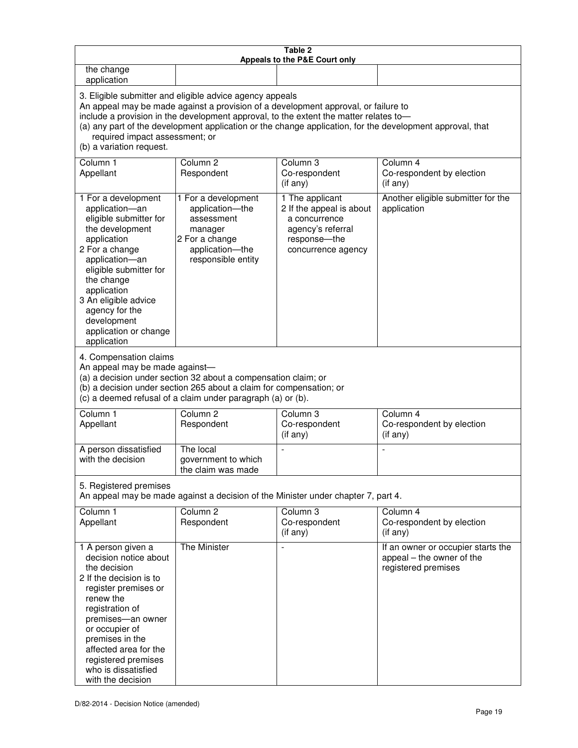| Table 2<br>Appeals to the P&E Court only                                                                                                                                                                                                                                                                                                                                                                           |                                                                                                                            |                                                                                                                         |                                                                                        |  |  |
|--------------------------------------------------------------------------------------------------------------------------------------------------------------------------------------------------------------------------------------------------------------------------------------------------------------------------------------------------------------------------------------------------------------------|----------------------------------------------------------------------------------------------------------------------------|-------------------------------------------------------------------------------------------------------------------------|----------------------------------------------------------------------------------------|--|--|
| the change<br>application                                                                                                                                                                                                                                                                                                                                                                                          |                                                                                                                            |                                                                                                                         |                                                                                        |  |  |
| 3. Eligible submitter and eligible advice agency appeals<br>An appeal may be made against a provision of a development approval, or failure to<br>include a provision in the development approval, to the extent the matter relates to-<br>(a) any part of the development application or the change application, for the development approval, that<br>required impact assessment; or<br>(b) a variation request. |                                                                                                                            |                                                                                                                         |                                                                                        |  |  |
| Column 1<br>Appellant                                                                                                                                                                                                                                                                                                                                                                                              | Column <sub>2</sub><br>Respondent                                                                                          | Column 3<br>Co-respondent<br>(if any)                                                                                   | Column 4<br>Co-respondent by election<br>(if any)                                      |  |  |
| 1 For a development<br>application-an<br>eligible submitter for<br>the development<br>application<br>2 For a change<br>application-an<br>eligible submitter for<br>the change<br>application<br>3 An eligible advice<br>agency for the<br>development<br>application or change<br>application                                                                                                                      | 1 For a development<br>application-the<br>assessment<br>manager<br>2 For a change<br>application-the<br>responsible entity | 1 The applicant<br>2 If the appeal is about<br>a concurrence<br>agency's referral<br>response-the<br>concurrence agency | Another eligible submitter for the<br>application                                      |  |  |
| 4. Compensation claims<br>An appeal may be made against-<br>(a) a decision under section 32 about a compensation claim; or<br>(b) a decision under section 265 about a claim for compensation; or<br>(c) a deemed refusal of a claim under paragraph (a) or (b).                                                                                                                                                   |                                                                                                                            |                                                                                                                         |                                                                                        |  |  |
| Column <sub>1</sub><br>Appellant                                                                                                                                                                                                                                                                                                                                                                                   | Column <sub>2</sub><br>Respondent                                                                                          | Column 3<br>Co-respondent<br>(if any)                                                                                   | Column 4<br>Co-respondent by election<br>(if any)                                      |  |  |
| A person dissatisfied<br>with the decision                                                                                                                                                                                                                                                                                                                                                                         | The local<br>government to which<br>the claim was made                                                                     | ÷,                                                                                                                      | $\overline{a}$                                                                         |  |  |
| 5. Registered premises<br>An appeal may be made against a decision of the Minister under chapter 7, part 4.                                                                                                                                                                                                                                                                                                        |                                                                                                                            |                                                                                                                         |                                                                                        |  |  |
| Column 1<br>Appellant                                                                                                                                                                                                                                                                                                                                                                                              | Column <sub>2</sub><br>Respondent                                                                                          | Column <sub>3</sub><br>Co-respondent<br>(if any)                                                                        | Column 4<br>Co-respondent by election<br>(if any)                                      |  |  |
| 1 A person given a<br>decision notice about<br>the decision<br>2 If the decision is to<br>register premises or<br>renew the<br>registration of<br>premises-an owner<br>or occupier of<br>premises in the<br>affected area for the<br>registered premises<br>who is dissatisfied<br>with the decision                                                                                                               | <b>The Minister</b>                                                                                                        |                                                                                                                         | If an owner or occupier starts the<br>appeal - the owner of the<br>registered premises |  |  |